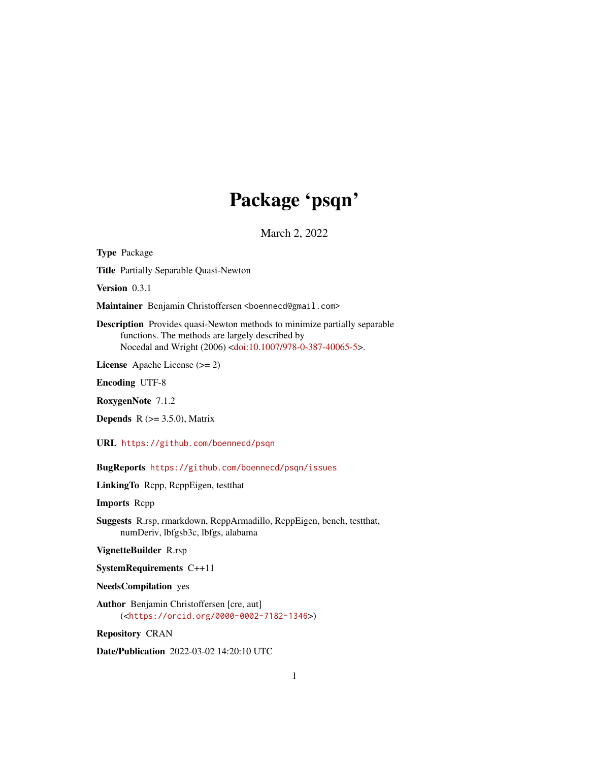## Package 'psqn'

March 2, 2022

<span id="page-0-0"></span>Type Package

Title Partially Separable Quasi-Newton

Version 0.3.1

Maintainer Benjamin Christoffersen <br/>boennecd@gmail.com>

Description Provides quasi-Newton methods to minimize partially separable functions. The methods are largely described by Nocedal and Wright (2006) [<doi:10.1007/978-0-387-40065-5>](https://doi.org/10.1007/978-0-387-40065-5).

License Apache License (>= 2)

Encoding UTF-8

RoxygenNote 7.1.2

**Depends** R  $(>= 3.5.0)$ , Matrix

URL <https://github.com/boennecd/psqn>

BugReports <https://github.com/boennecd/psqn/issues>

LinkingTo Rcpp, RcppEigen, testthat

Imports Rcpp

Suggests R.rsp, rmarkdown, RcppArmadillo, RcppEigen, bench, testthat, numDeriv, lbfgsb3c, lbfgs, alabama

VignetteBuilder R.rsp

SystemRequirements C++11

NeedsCompilation yes

Author Benjamin Christoffersen [cre, aut] (<<https://orcid.org/0000-0002-7182-1346>>)

Repository CRAN

Date/Publication 2022-03-02 14:20:10 UTC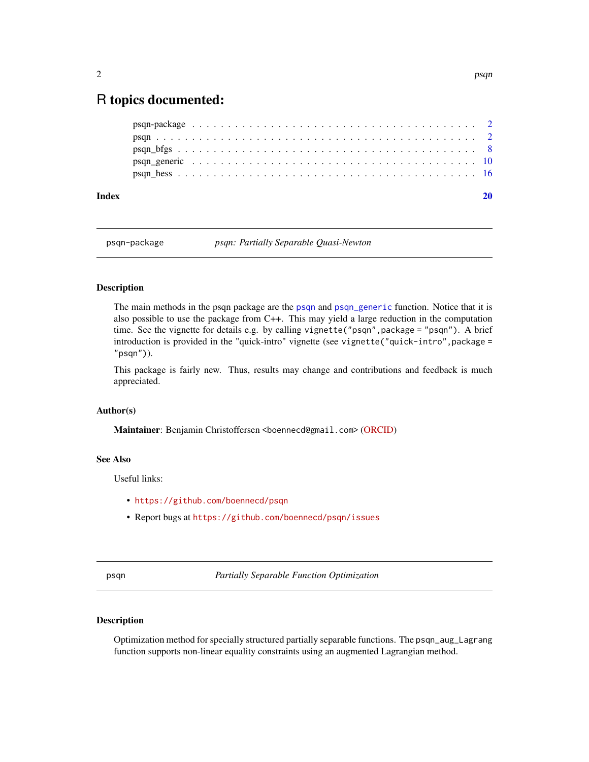### <span id="page-1-0"></span>R topics documented:

| Index |  |  |  |  |  |  |  |  |  |  |  |  |  |  |  |  |  |  |  |  |
|-------|--|--|--|--|--|--|--|--|--|--|--|--|--|--|--|--|--|--|--|--|
|       |  |  |  |  |  |  |  |  |  |  |  |  |  |  |  |  |  |  |  |  |
|       |  |  |  |  |  |  |  |  |  |  |  |  |  |  |  |  |  |  |  |  |
|       |  |  |  |  |  |  |  |  |  |  |  |  |  |  |  |  |  |  |  |  |
|       |  |  |  |  |  |  |  |  |  |  |  |  |  |  |  |  |  |  |  |  |
|       |  |  |  |  |  |  |  |  |  |  |  |  |  |  |  |  |  |  |  |  |

psqn-package *psqn: Partially Separable Quasi-Newton*

#### Description

The main methods in the psqn package are the [psqn](#page-1-1) and [psqn\\_generic](#page-9-1) function. Notice that it is also possible to use the package from C++. This may yield a large reduction in the computation time. See the vignette for details e.g. by calling vignette("psqn",package = "psqn"). A brief introduction is provided in the "quick-intro" vignette (see vignette("quick-intro",package = "psqn")).

This package is fairly new. Thus, results may change and contributions and feedback is much appreciated.

#### Author(s)

Maintainer: Benjamin Christoffersen <boennecd@gmail.com> [\(ORCID\)](https://orcid.org/0000-0002-7182-1346)

#### See Also

Useful links:

- <https://github.com/boennecd/psqn>
- Report bugs at <https://github.com/boennecd/psqn/issues>

<span id="page-1-1"></span>psqn *Partially Separable Function Optimization*

#### <span id="page-1-2"></span>Description

Optimization method for specially structured partially separable functions. The psqn\_aug\_Lagrang function supports non-linear equality constraints using an augmented Lagrangian method.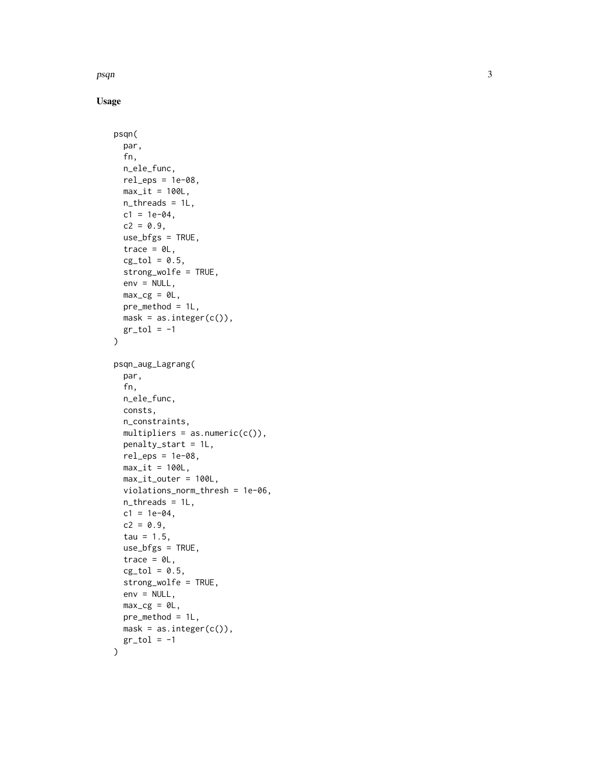psqn

```
psqn(
 par,
  fn,
 n_ele_func,
  rel\_eps = 1e-08,
 max_i t = 100L,
 n_{\text{th}}reads = 1L,
 c1 = 1e-04,
  c2 = 0.9,
  use_bfgs = TRUE,
  trace = \thetaL,
  cg\_tol = 0.5,
  strong_wolfe = TRUE,
  env = NULL,max_{c} = \theta L,
 pre_method = 1L,
 mask = as.integer(c()),
 gr\_tol = -1)
psqn_aug_Lagrang(
  par,
  fn,
 n_ele_func,
 consts,
  n_constraints,
 multipliers = as.numeric(c()),
 penalty_start = 1L,
  rel\_eps = 1e-08,
 max_i t = 100L,
 max_it_outer = 100L,
 violations_norm_thresh = 1e-06,
  n_threads = 1L,
  c1 = 1e-04,
  c2 = 0.9,
  tau = 1.5,
  use_bfgs = TRUE,trace = \theta L,
  cg\_tol = 0.5,
  strong_wolfe = TRUE,
  env = NULL,max_c = 0L,
 pre_method = 1L,
 mask = as.integer(c()),
 gr\_tol = -1)
```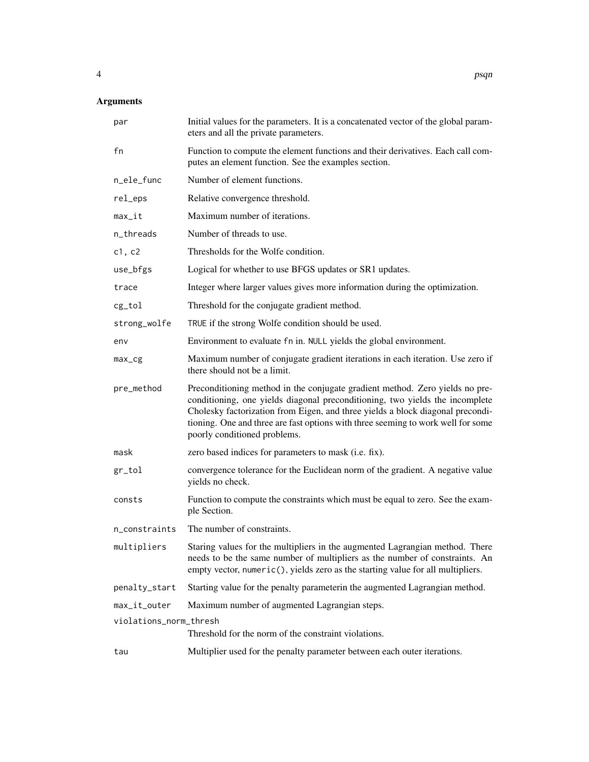#### Arguments

| par                    | Initial values for the parameters. It is a concatenated vector of the global param-<br>eters and all the private parameters.                                                                                                                                                                                                                                       |
|------------------------|--------------------------------------------------------------------------------------------------------------------------------------------------------------------------------------------------------------------------------------------------------------------------------------------------------------------------------------------------------------------|
| fn                     | Function to compute the element functions and their derivatives. Each call com-<br>putes an element function. See the examples section.                                                                                                                                                                                                                            |
| n_ele_func             | Number of element functions.                                                                                                                                                                                                                                                                                                                                       |
| rel_eps                | Relative convergence threshold.                                                                                                                                                                                                                                                                                                                                    |
| $max_it$               | Maximum number of iterations.                                                                                                                                                                                                                                                                                                                                      |
| n_threads              | Number of threads to use.                                                                                                                                                                                                                                                                                                                                          |
| c1, c2                 | Thresholds for the Wolfe condition.                                                                                                                                                                                                                                                                                                                                |
| use_bfgs               | Logical for whether to use BFGS updates or SR1 updates.                                                                                                                                                                                                                                                                                                            |
| trace                  | Integer where larger values gives more information during the optimization.                                                                                                                                                                                                                                                                                        |
| cg_tol                 | Threshold for the conjugate gradient method.                                                                                                                                                                                                                                                                                                                       |
| strong_wolfe           | TRUE if the strong Wolfe condition should be used.                                                                                                                                                                                                                                                                                                                 |
| env                    | Environment to evaluate fn in. NULL yields the global environment.                                                                                                                                                                                                                                                                                                 |
| $max_c$                | Maximum number of conjugate gradient iterations in each iteration. Use zero if<br>there should not be a limit.                                                                                                                                                                                                                                                     |
| pre_method             | Preconditioning method in the conjugate gradient method. Zero yields no pre-<br>conditioning, one yields diagonal preconditioning, two yields the incomplete<br>Cholesky factorization from Eigen, and three yields a block diagonal precondi-<br>tioning. One and three are fast options with three seeming to work well for some<br>poorly conditioned problems. |
| mask                   | zero based indices for parameters to mask (i.e. fix).                                                                                                                                                                                                                                                                                                              |
| gr_tol                 | convergence tolerance for the Euclidean norm of the gradient. A negative value<br>yields no check.                                                                                                                                                                                                                                                                 |
| consts                 | Function to compute the constraints which must be equal to zero. See the exam-<br>ple Section.                                                                                                                                                                                                                                                                     |
| n_constraints          | The number of constraints.                                                                                                                                                                                                                                                                                                                                         |
| multipliers            | Staring values for the multipliers in the augmented Lagrangian method. There<br>needs to be the same number of multipliers as the number of constraints. An<br>empty vector, numeric(), yields zero as the starting value for all multipliers.                                                                                                                     |
| penalty_start          | Starting value for the penalty parameterin the augmented Lagrangian method.                                                                                                                                                                                                                                                                                        |
| max_it_outer           | Maximum number of augmented Lagrangian steps.                                                                                                                                                                                                                                                                                                                      |
| violations_norm_thresh | Threshold for the norm of the constraint violations.                                                                                                                                                                                                                                                                                                               |
| tau                    | Multiplier used for the penalty parameter between each outer iterations.                                                                                                                                                                                                                                                                                           |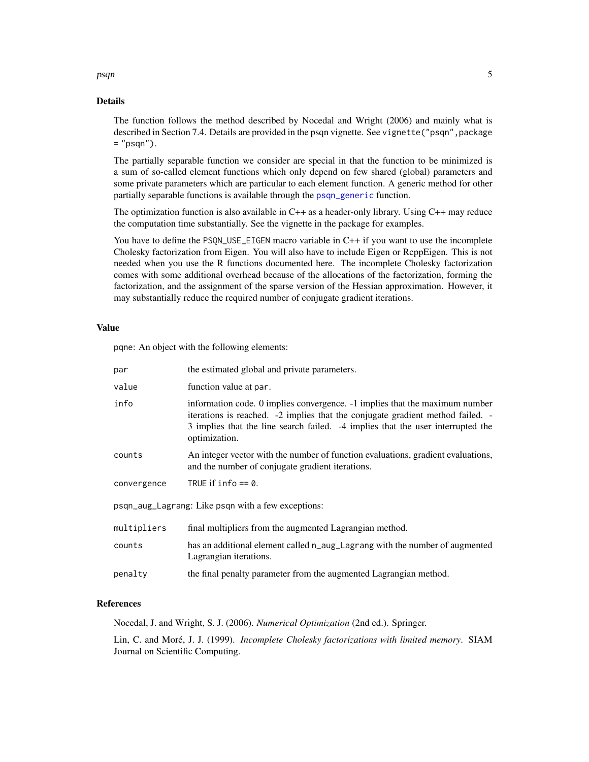#### <span id="page-4-0"></span>psqn 5

#### Details

The function follows the method described by Nocedal and Wright (2006) and mainly what is described in Section 7.4. Details are provided in the psqn vignette. See vignette ("psqn", package = "psqn").

The partially separable function we consider are special in that the function to be minimized is a sum of so-called element functions which only depend on few shared (global) parameters and some private parameters which are particular to each element function. A generic method for other partially separable functions is available through the [psqn\\_generic](#page-9-1) function.

The optimization function is also available in C++ as a header-only library. Using C++ may reduce the computation time substantially. See the vignette in the package for examples.

You have to define the PSQN\_USE\_EIGEN macro variable in C++ if you want to use the incomplete Cholesky factorization from Eigen. You will also have to include Eigen or RcppEigen. This is not needed when you use the R functions documented here. The incomplete Cholesky factorization comes with some additional overhead because of the allocations of the factorization, forming the factorization, and the assignment of the sparse version of the Hessian approximation. However, it may substantially reduce the required number of conjugate gradient iterations.

#### Value

pqne: An object with the following elements:

| par         | the estimated global and private parameters.                                                                                                                                                                                                                      |
|-------------|-------------------------------------------------------------------------------------------------------------------------------------------------------------------------------------------------------------------------------------------------------------------|
| value       | function value at par.                                                                                                                                                                                                                                            |
| info        | information code. 0 implies convergence. -1 implies that the maximum number<br>iterations is reached. -2 implies that the conjugate gradient method failed. -<br>3 implies that the line search failed. -4 implies that the user interrupted the<br>optimization. |
| counts      | An integer vector with the number of function evaluations, gradient evaluations,<br>and the number of conjugate gradient iterations.                                                                                                                              |
| convergence | TRUE if $info == 0$ .                                                                                                                                                                                                                                             |
|             | psqn_aug_Lagrang: Like psqn with a few exceptions:                                                                                                                                                                                                                |
| multipliers | final multipliers from the augmented Lagrangian method.                                                                                                                                                                                                           |
| counts      | has an additional element called n_aug_Lagrang with the number of augmented<br>Lagrangian iterations.                                                                                                                                                             |
| penalty     | the final penalty parameter from the augmented Lagrangian method.                                                                                                                                                                                                 |

#### References

Nocedal, J. and Wright, S. J. (2006). *Numerical Optimization* (2nd ed.). Springer.

Lin, C. and Moré, J. J. (1999). *Incomplete Cholesky factorizations with limited memory*. SIAM Journal on Scientific Computing.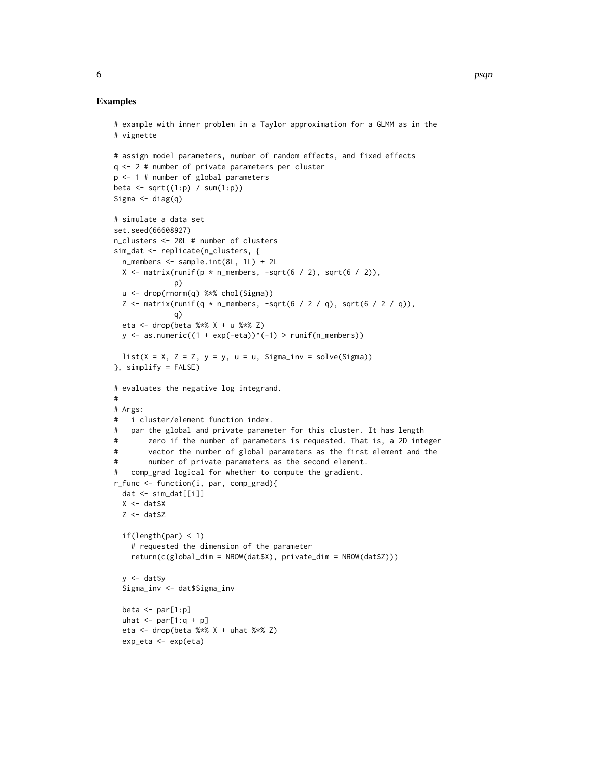```
# example with inner problem in a Taylor approximation for a GLMM as in the
# vignette
# assign model parameters, number of random effects, and fixed effects
q <- 2 # number of private parameters per cluster
p <- 1 # number of global parameters
beta \leq sqrt((1:p) / sum(1:p))Sigma \leftarrow diag(q)
# simulate a data set
set.seed(66608927)
n_clusters <- 20L # number of clusters
sim_dat <- replicate(n_clusters, {
  n_members <- sample.int(8L, 1L) + 2L
  X \le matrix(runif(p * n_members, -sqrt(6 / 2), sqrt(6 / 2)),
              p)
  u <- drop(rnorm(q) %*% chol(Sigma))
  Z \le matrix(runif(q * n_members, -sqrt(6 / 2 / q), sqrt(6 / 2 / q)),
              q)
  eta <- drop(beta %*% X + u %*% Z)
  y \le - as.numeric((1 + exp(-eta))^(-1) > runif(n_members))
  list(X = X, Z = Z, y = y, u = u, Sigma_inv = solve(Sigma))
}, simplify = FALSE)
# evaluates the negative log integrand.
#
# Args:
# i cluster/element function index.
# par the global and private parameter for this cluster. It has length
# zero if the number of parameters is requested. That is, a 2D integer
# vector the number of global parameters as the first element and the
# number of private parameters as the second element.
# comp_grad logical for whether to compute the gradient.
r_func <- function(i, par, comp_grad){
  dat <- sim_dat[[i]]
  X \leftarrow \text{dat$X}Z <- dat$Z
  if(length(par) < 1)
    # requested the dimension of the parameter
    return(c(global_dim = NROW(dat$X), private_dim = NROW(dat$Z)))
  y \le - dat$y
  Sigma_inv <- dat$Sigma_inv
  beta \le par[1:p]uhat \leq par[1:q + p]
  eta <- drop(beta %x X + uhat %x Z)
  exp_eta <- exp(eta)
```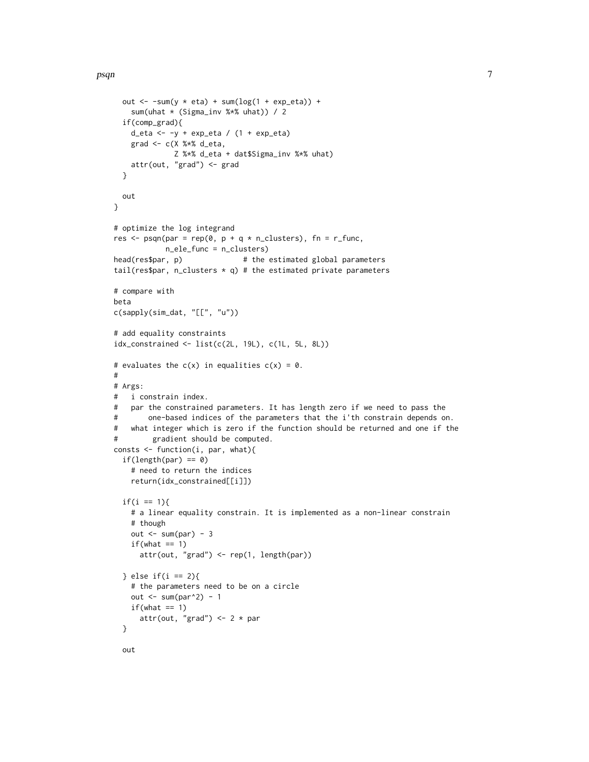```
out \le -sum(y \le eta) + sum(log(1 + exp_eta)) +
    sum(uhat * (Sigma_inv %*% uhat)) / 2
  if(comp_grad){
    d_eta \leftarrow -y + \exp_{\leftarrow} t a / (1 + \exp_{\leftarrow} t a)grad <- c(X %*% d_eta,
              Z %*% d_eta + dat$Sigma_inv %*% uhat)
    attr(out, "grad") <- grad
  }
 out
}
# optimize the log integrand
res \leq psqn(par = rep(0, p + q * n_clusters), fn = r_func,
            n_ele_func = n_clusters)
head(res$par, p) # the estimated global parameters
tail(res$par, n_clusters * q) # the estimated private parameters
# compare with
beta
c(sapply(sim_dat, "[[", "u"))
# add equality constraints
idx_constrained <- list(c(2L, 19L), c(1L, 5L, 8L))
# evaluates the c(x) in equalities c(x) = 0.
#
# Args:
# i constrain index.
# par the constrained parameters. It has length zero if we need to pass the
# one-based indices of the parameters that the i'th constrain depends on.
# what integer which is zero if the function should be returned and one if the
# gradient should be computed.
consts <- function(i, par, what){
  if(length(par) == 0)# need to return the indices
    return(idx_constrained[[i]])
  if(i == 1){
    # a linear equality constrain. It is implemented as a non-linear constrain
    # though
    out \le sum(par) - 3
    if(what == 1)attr(out, "grad") <- rep(1, length(par))
  } else if(i == 2){
    # the parameters need to be on a circle
    out \le sum(par^2) - 1
   if(what == 1)attr(out, "grad") \leq 2 \star par
  }
```
out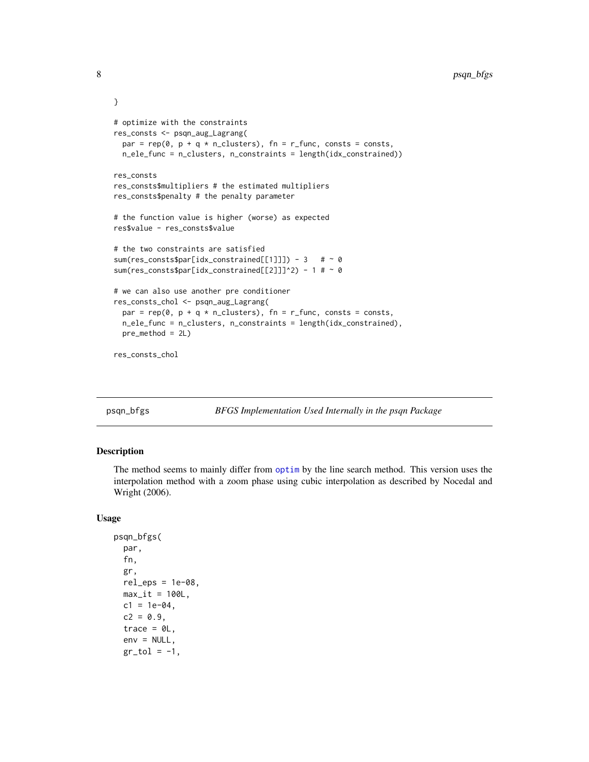```
}
# optimize with the constraints
res_consts <- psqn_aug_Lagrang(
 par = rep(0, p + q * n_{\text{clusters}}), fn = r_func, consts = consts,
 n_ele_func = n_clusters, n_constraints = length(idx_constrained))
res_consts
res_consts$multipliers # the estimated multipliers
res_consts$penalty # the penalty parameter
# the function value is higher (worse) as expected
res$value - res_consts$value
# the two constraints are satisfied
sum(res_consts$par[idx_constrained[[1]]]) - 3 # \sim 0
sum(res_consts$par[idx_constrained[[2]]]^2) - 1 # ~ 0
# we can also use another pre conditioner
res_consts_chol <- psqn_aug_Lagrang(
 par = rep(0, p + q * n_{\text{clusters}}), fn = r_func, consts = consts,
 n_ele_func = n_clusters, n_constraints = length(idx_constrained),
 pre_method = 2L)
res_consts_chol
```
psqn\_bfgs *BFGS Implementation Used Internally in the psqn Package*

#### Description

The method seems to mainly differ from [optim](#page-0-0) by the line search method. This version uses the interpolation method with a zoom phase using cubic interpolation as described by Nocedal and Wright (2006).

```
psqn_bfgs(
  par,
  fn,
  gr,
  rel\_eps = 1e-08,
  max_i = 100L,
  c1 = 1e-04,
  c2 = 0.9,
  trace = \thetaL,
  env = NULL,gr\_tol = -1,
```
<span id="page-7-0"></span>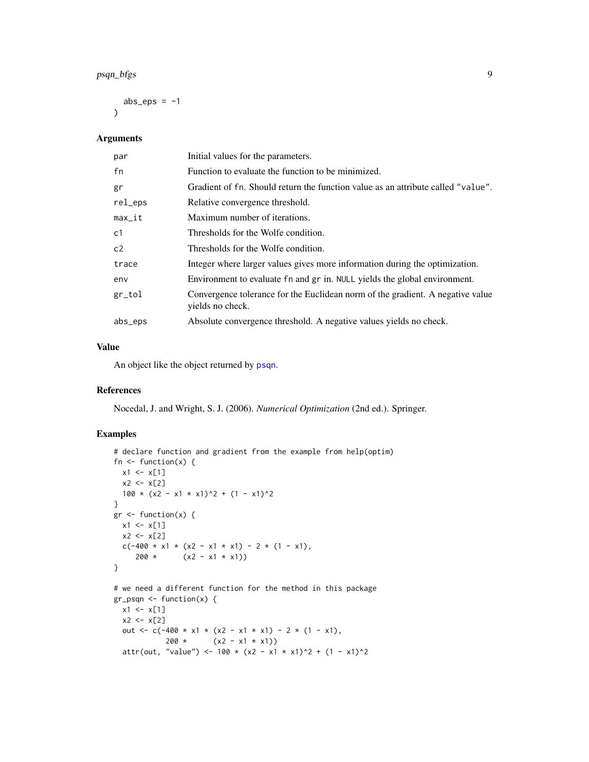#### <span id="page-8-0"></span>psqn\_bfgs 9

abs\_eps =  $-1$  $\lambda$ 

#### Arguments

| par            | Initial values for the parameters.                                                                 |
|----------------|----------------------------------------------------------------------------------------------------|
| fn             | Function to evaluate the function to be minimized.                                                 |
| gr             | Gradient of fn. Should return the function value as an attribute called "value".                   |
| rel_eps        | Relative convergence threshold.                                                                    |
| $max_i$        | Maximum number of iterations.                                                                      |
| c <sub>1</sub> | Thresholds for the Wolfe condition.                                                                |
| c2             | Thresholds for the Wolfe condition.                                                                |
| trace          | Integer where larger values gives more information during the optimization.                        |
| env            | Environment to evaluate fn and gr in. NULL yields the global environment.                          |
| gr_tol         | Convergence tolerance for the Euclidean norm of the gradient. A negative value<br>yields no check. |
| abs_eps        | Absolute convergence threshold. A negative values yields no check.                                 |

#### Value

An object like the object returned by [psqn](#page-1-1).

#### References

Nocedal, J. and Wright, S. J. (2006). *Numerical Optimization* (2nd ed.). Springer.

```
# declare function and gradient from the example from help(optim)
fn \leq function(x) {
 x1 \le x[1]x2 < - x[2]100 \times (x2 - x1 \times x1)^2 + (1 - x1)^2}
gr <- function(x) {
 x1 \leftarrow x[1]x2 < - x[2]c(-400 \times x1 \times (x2 - x1 \times x1) - 2 \times (1 - x1),200 * (x2 - x1 * x1))}
# we need a different function for the method in this package
gr_psqn <- function(x) {
  x1 \leftarrow x[1]x2 < - x[2]out <- c(-400 * x1 * (x2 - x1 * x1) - 2 * (1 - x1),
             200 * (x2 - x1 * x1))attr(out, "value") <- 100 \times (x^2 - x^1 \times x^1)^2 + (1 - x^1)^2
```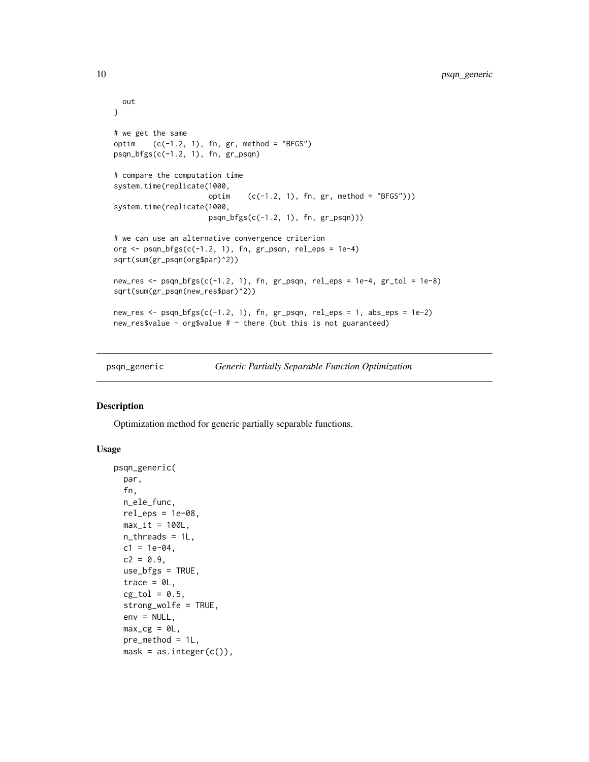```
out
}
# we get the same
optim (c(-1.2, 1), fn, gr, method = "BFGS")psqn_bfgs(c(-1.2, 1), fn, gr_psqn)
# compare the computation time
system.time(replicate(1000,
                      optim (c(-1.2, 1), fn, gr, method = "BFGS"))system.time(replicate(1000,
                      psqn_bfgs(c(-1.2, 1), fn, gr_psqn)))
# we can use an alternative convergence criterion
org \leq psqn_bfgs(c(-1.2, 1), fn, gr_psqn, rel_eps = 1e-4)
sqrt(sum(gr_psqn(org$par)^2))
new_res <- psqn_bfgs(c(-1.2, 1), fn, gr_psqn, rel_eps = 1e-4, gr_tol = 1e-8)
sqrt(sum(gr_psqn(new_res$par)^2))
new_res <- psqn_bfgs(c(-1.2, 1), fn, gr_psqn, rel_eps = 1, abs_eps = 1e-2)
new_res$value - org$value # \sim there (but this is not guaranteed)
```
<span id="page-9-1"></span>psqn\_generic *Generic Partially Separable Function Optimization*

#### Description

Optimization method for generic partially separable functions.

```
psqn_generic(
  par,
  fn,
  n_ele_func,
  rel\_eps = 1e-08,
 max_it = 100L,n_threads = 1L,
  c1 = 1e-04,
  c2 = 0.9,
  use_bfgs = TRUE,trace = \thetaL,
  cg_to1 = 0.5,
  strong_wolfe = TRUE,
  env = NULL,max_cg = 0L,
  pre_method = 1L,
  mask = as.integer(c()),
```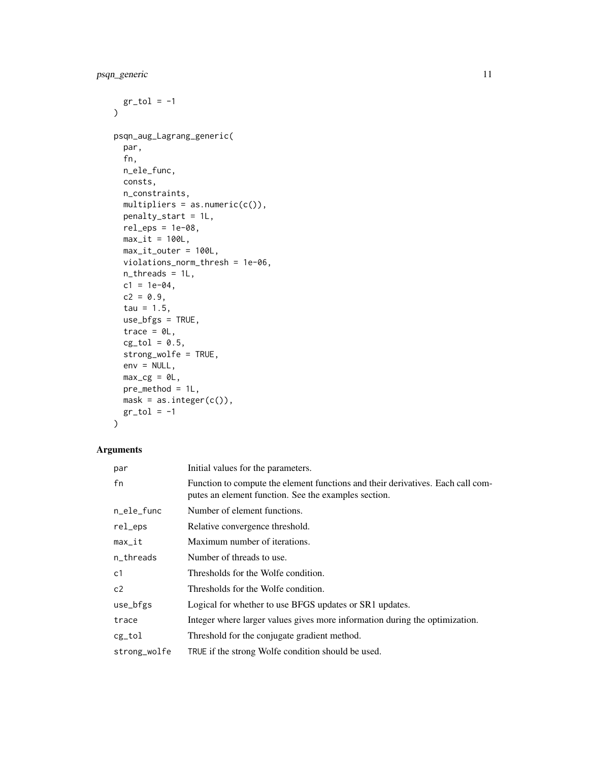```
gr\_tol = -1\mathcal{L}psqn_aug_Lagrang_generic(
 par,
  fn,
 n_ele_func,
 consts,
 n_constraints,
 multipliers = as.numeric(c()),
 penalty_start = 1L,
 rel\_eps = 1e-08,
 max_i t = 100L,
 max_it_outer = 100L,
 violations_norm_thresh = 1e-06,
 n_threads = 1L,
 c1 = 1e-04,
 c2 = 0.9,
  tau = 1.5,
 use_bfgs = TRUE,
  trace = \theta L,
 cg\_tol = 0.5,
  strong_wolfe = TRUE,
 env = NULL,max_c = 0L,
 pre_method = 1L,
 mask = as.integer(c()),
 gr\_tol = -1\mathcal{L}
```
#### Arguments

| par          | Initial values for the parameters.                                                                                                      |
|--------------|-----------------------------------------------------------------------------------------------------------------------------------------|
| fn           | Function to compute the element functions and their derivatives. Each call com-<br>putes an element function. See the examples section. |
| n_ele_func   | Number of element functions.                                                                                                            |
| rel_eps      | Relative convergence threshold.                                                                                                         |
| max_it       | Maximum number of iterations.                                                                                                           |
| n_threads    | Number of threads to use.                                                                                                               |
| c1           | Thresholds for the Wolfe condition.                                                                                                     |
| c2           | Thresholds for the Wolfe condition.                                                                                                     |
| use_bfgs     | Logical for whether to use BFGS updates or SR1 updates.                                                                                 |
| trace        | Integer where larger values gives more information during the optimization.                                                             |
| cg_tol       | Threshold for the conjugate gradient method.                                                                                            |
| strong_wolfe | TRUE if the strong Wolfe condition should be used.                                                                                      |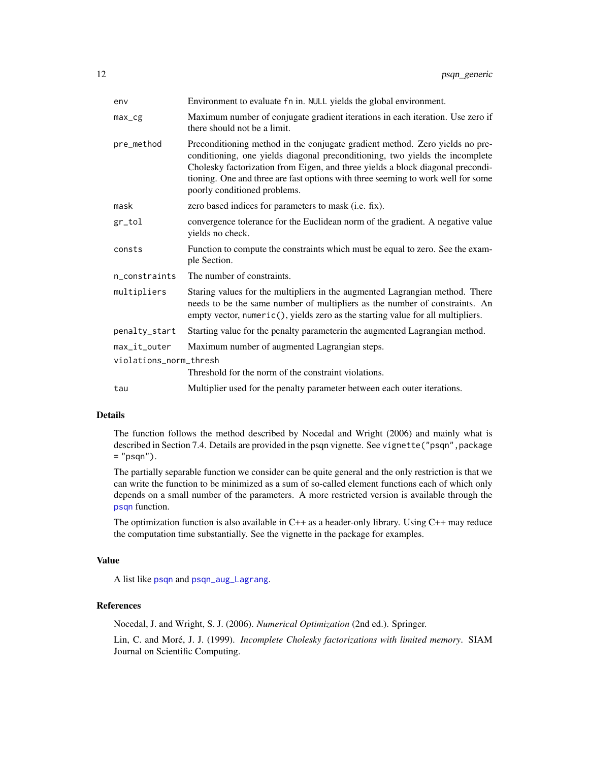<span id="page-11-0"></span>

| env                    | Environment to evaluate fn in. NULL yields the global environment.                                                                                                                                                                                                                                                                                                 |
|------------------------|--------------------------------------------------------------------------------------------------------------------------------------------------------------------------------------------------------------------------------------------------------------------------------------------------------------------------------------------------------------------|
| $max_{\text{g}}$       | Maximum number of conjugate gradient iterations in each iteration. Use zero if<br>there should not be a limit.                                                                                                                                                                                                                                                     |
| pre_method             | Preconditioning method in the conjugate gradient method. Zero yields no pre-<br>conditioning, one yields diagonal preconditioning, two yields the incomplete<br>Cholesky factorization from Eigen, and three yields a block diagonal precondi-<br>tioning. One and three are fast options with three seeming to work well for some<br>poorly conditioned problems. |
| mask                   | zero based indices for parameters to mask (i.e. fix).                                                                                                                                                                                                                                                                                                              |
| gr_tol                 | convergence tolerance for the Euclidean norm of the gradient. A negative value<br>yields no check.                                                                                                                                                                                                                                                                 |
| consts                 | Function to compute the constraints which must be equal to zero. See the exam-<br>ple Section.                                                                                                                                                                                                                                                                     |
| n constraints          | The number of constraints.                                                                                                                                                                                                                                                                                                                                         |
| multipliers            | Staring values for the multipliers in the augmented Lagrangian method. There<br>needs to be the same number of multipliers as the number of constraints. An<br>empty vector, numeric(), yields zero as the starting value for all multipliers.                                                                                                                     |
| penalty_start          | Starting value for the penalty parameterin the augmented Lagrangian method.                                                                                                                                                                                                                                                                                        |
| max_it_outer           | Maximum number of augmented Lagrangian steps.                                                                                                                                                                                                                                                                                                                      |
| violations_norm_thresh | Threshold for the norm of the constraint violations.                                                                                                                                                                                                                                                                                                               |
| tau                    | Multiplier used for the penalty parameter between each outer iterations.                                                                                                                                                                                                                                                                                           |
|                        |                                                                                                                                                                                                                                                                                                                                                                    |

#### Details

The function follows the method described by Nocedal and Wright (2006) and mainly what is described in Section 7.4. Details are provided in the psqn vignette. See vignette("psqn", package  $=$  "psqn").

The partially separable function we consider can be quite general and the only restriction is that we can write the function to be minimized as a sum of so-called element functions each of which only depends on a small number of the parameters. A more restricted version is available through the [psqn](#page-1-1) function.

The optimization function is also available in C++ as a header-only library. Using C++ may reduce the computation time substantially. See the vignette in the package for examples.

#### Value

A list like [psqn](#page-1-1) and [psqn\\_aug\\_Lagrang](#page-1-2).

#### References

Nocedal, J. and Wright, S. J. (2006). *Numerical Optimization* (2nd ed.). Springer.

Lin, C. and Moré, J. J. (1999). *Incomplete Cholesky factorizations with limited memory*. SIAM Journal on Scientific Computing.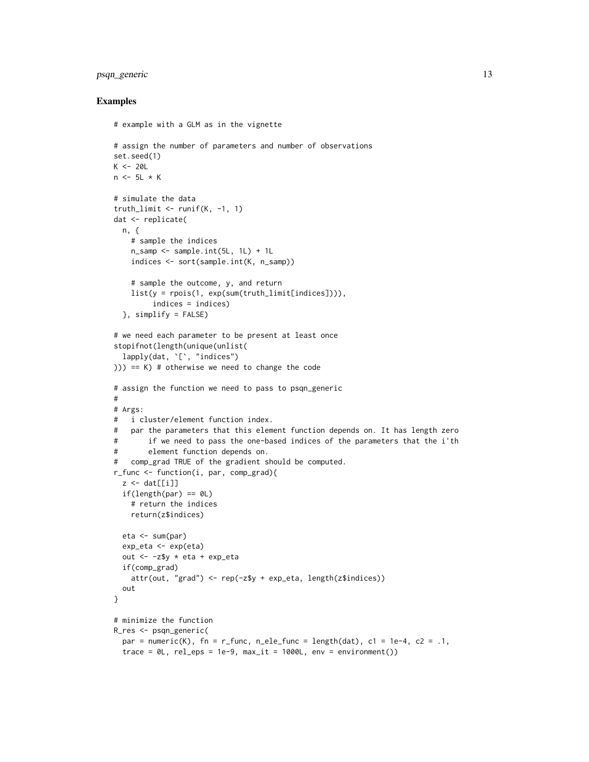#### psqn\_generic 13

```
# example with a GLM as in the vignette
# assign the number of parameters and number of observations
set.seed(1)
K < -20Ln \leftarrow 5L \times K# simulate the data
truth_limit \le- runif(K, -1, 1)
dat <- replicate(
  n, {
    # sample the indices
   n_samp <- sample.int(5L, 1L) + 1L
    indices <- sort(sample.int(K, n_samp))
    # sample the outcome, y, and return
    list(y = rpois(1, exp(sum(truth_limit[indices]))),
         indices = indices)
  }, simplify = FALSE)
# we need each parameter to be present at least once
stopifnot(length(unique(unlist(
  lapply(dat, '[', "indices")
))) == K) # otherwise we need to change the code
# assign the function we need to pass to psqn_generic
#
# Args:
# i cluster/element function index.
# par the parameters that this element function depends on. It has length zero
# if we need to pass the one-based indices of the parameters that the i'th
# element function depends on.
# comp_grad TRUE of the gradient should be computed.
r_func <- function(i, par, comp_grad){
  z \leftarrow \text{dat}[[i]]if(length(par) == 0L)
    # return the indices
   return(z$indices)
  eta <- sum(par)
  exp_eta <- exp(eta)
  out <- -z$y * eta + exp_eta
  if(comp_grad)
   attr(out, "grad") <- rep(-z$y + exp_eta, length(z$indices))
  out
}
# minimize the function
R_res <- psqn_generic(
 par = numeric(K), fn = r_func, n_ele_func = length(dat), c1 = 1e-4, c2 = .1,
  trace = OL, rel_eps = 1e-9, max_it = 1000L, env = environment())
```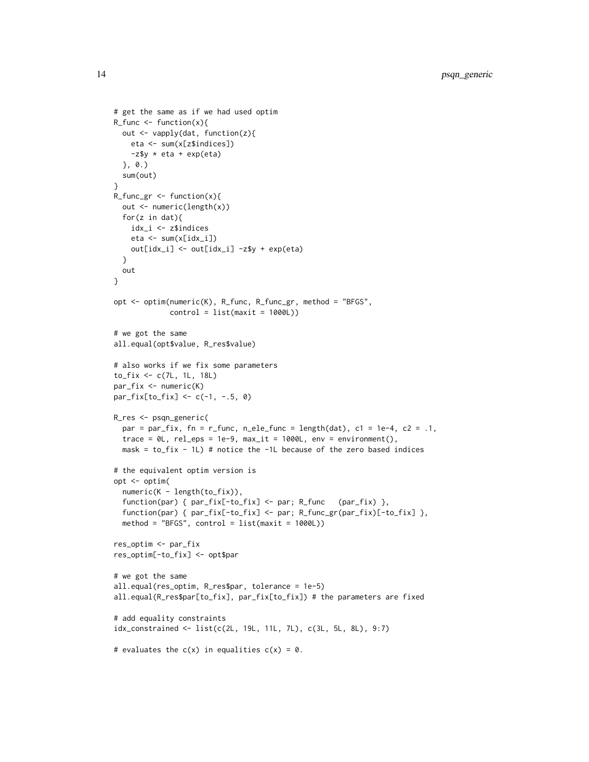```
# get the same as if we had used optim
R_func \leftarrow function(x)out <- vapply(dat, function(z){
   eta <- sum(x[z$indices])
   -z$y * eta + exp(eta)
  }, 0.)
  sum(out)
}
R_func_gr <- function(x){
  out <- numeric(length(x))
  for(z in dat){
   idx_i <- z$indices
   eta <- sum(x[idx_i])
   out[idx_i] <- out[idx_i] -z$y + exp(eta)
  }
  out
}
opt <- optim(numeric(K), R_func, R_func_gr, method = "BFGS",
             control = list(maxit = 1000L))# we got the same
all.equal(opt$value, R_res$value)
# also works if we fix some parameters
to_fix <- c(7L, 1L, 18L)
par_fix <- numeric(K)
par_fix[to_fix] <- c(-1, -.5, 0)
R_res <- psqn_generic(
  par = par_fix, fn = r_func, n_ele_func = length(dat), c1 = 1e-4, c2 = .1,
  trace = OL, rel_eps = 1e-9, max_it = 1000L, env = environment(),
  mask = to_fix - 1L) # notice the -1L because of the zero based indices
# the equivalent optim version is
opt <- optim(
  numeric(K - length(to_fix)),
  function(par) { par_fix[-to_fix] <- par; R_func (par_fix) },
  function(par) { par_fix[-to_fix] <- par; R_func_gr(par_fix)[-to_fix] },
  method = "BFGS", control = list(maxit = 1000L))res_optim <- par_fix
res_optim[-to_fix] <- opt$par
# we got the same
all.equal(res_optim, R_res$par, tolerance = 1e-5)
all.equal(R_res$par[to_fix], par_fix[to_fix]) # the parameters are fixed
# add equality constraints
idx_constrained <- list(c(2L, 19L, 11L, 7L), c(3L, 5L, 8L), 9:7)
# evaluates the c(x) in equalities c(x) = 0.
```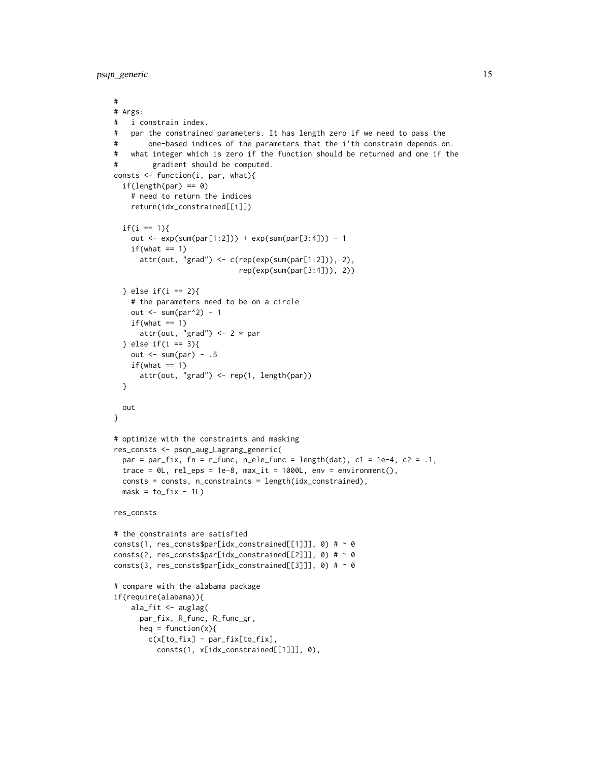```
#
# Args:
# i constrain index.
# par the constrained parameters. It has length zero if we need to pass the
# one-based indices of the parameters that the i'th constrain depends on.
# what integer which is zero if the function should be returned and one if the
# gradient should be computed.
consts <- function(i, par, what){
 if(length(par) == 0)# need to return the indices
    return(idx_constrained[[i]])
 if(i == 1){
    out \leq - \exp(\text{sum}(par[1:2])) + \exp(\text{sum}(par[3:4])) - 1if(what == 1)attr(out, "grad") <- c(rep(exp(sum(par[1:2])), 2),
                             rep(exp(sum(par[3:4])), 2))
 } else if(i == 2){
    # the parameters need to be on a circle
    out \le sum(par^2) - 1
    if(what == 1)attr(out, "grad") <-2 * par
 } else if(i == 3){
   out \le sum(par) - .5
    if(\text{what} == 1)attr(out, "grad") <- rep(1, length(par))
 }
 out
}
# optimize with the constraints and masking
res_consts <- psqn_aug_Lagrang_generic(
 par = par_fix, fn = r_func, n_ele_func = length(dat), c1 = 1e-4, c2 = .1,
 trace = @L, rel_eps = 1e-8, max_it = 1000L, env = environment(),
 consts = consts, n_constraints = length(idx_constrained),
 mask = to\_fix - 1L)res_consts
# the constraints are satisfied
consts(1, res_consts$par[idx_constrained[[1]]], \theta) # ~ 0
consts(2, res_consts$par[idx_constrained[[2]]], \theta) # ~ \thetaconsts(3, res_consts$par[idx_constrained[[3]]], 0) # ~ 0
# compare with the alabama package
if(require(alabama)){
    ala_fit <- auglag(
      par_fix, R_func, R_func_gr,
      heq = function(x){
        c(x[to_fix] - par_fix[to_fix],
          consts(1, x[idx_constrained[[1]]], 0),
```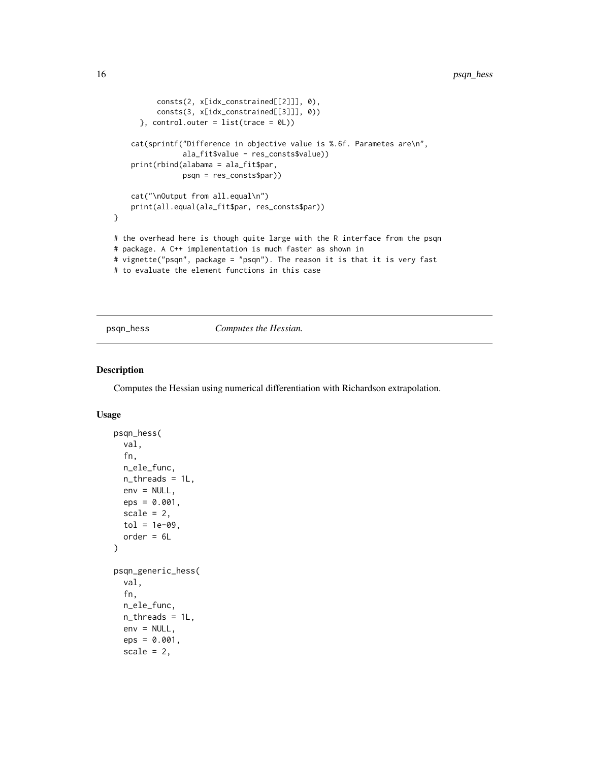```
consts(2, x[idx_constrained[[2]]], 0),
          consts(3, x[idx_constrained[[3]]], 0))
     }, control.outer = list(trace = @L()cat(sprintf("Difference in objective value is %.6f. Parametes are\n",
                ala_fit$value - res_consts$value))
    print(rbind(alabama = ala_fit$par,
                psqn = res_consts$par))
    cat("\nOutput from all.equal\n")
   print(all.equal(ala_fit$par, res_consts$par))
}
# the overhead here is though quite large with the R interface from the psqn
# package. A C++ implementation is much faster as shown in
# vignette("psqn", package = "psqn"). The reason it is that it is very fast
# to evaluate the element functions in this case
```
psqn\_hess *Computes the Hessian.*

#### Description

Computes the Hessian using numerical differentiation with Richardson extrapolation.

```
psqn_hess(
  val,
  fn,
  n_ele_func,
  n_threads = 1L,
  env = NULL,eps = 0.001,
  scale = 2,
  tol = 1e-09,
  order = 6L)
psqn_generic_hess(
  val,
  fn,
  n_ele_func,
  n_{\text{th}} reads = 1L,
  env = NULL,eps = 0.001,
  scale = 2,
```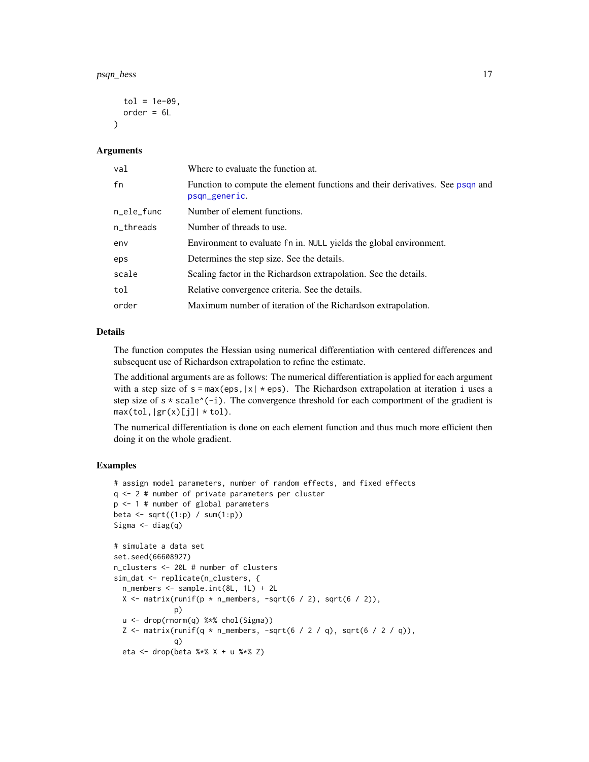```
tol = 1e-09,order = 6L)
```
#### Arguments

| val        | Where to evaluate the function at.                                                             |
|------------|------------------------------------------------------------------------------------------------|
| fn         | Function to compute the element functions and their derivatives. See psqn and<br>psqn_generic. |
| n_ele_func | Number of element functions.                                                                   |
| n_threads  | Number of threads to use.                                                                      |
| env        | Environment to evaluate fn in. NULL yields the global environment.                             |
| eps        | Determines the step size. See the details.                                                     |
| scale      | Scaling factor in the Richardson extrapolation. See the details.                               |
| tol        | Relative convergence criteria. See the details.                                                |
| order      | Maximum number of iteration of the Richardson extrapolation.                                   |

#### Details

The function computes the Hessian using numerical differentiation with centered differences and subsequent use of Richardson extrapolation to refine the estimate.

The additional arguments are as follows: The numerical differentiation is applied for each argument with a step size of  $s = max(eps, |x| *eps)$ . The Richardson extrapolation at iteration i uses a step size of  $s * scale^(-i)$ . The convergence threshold for each comportment of the gradient is  $max(tol, |gr(x)[j]| * tol).$ 

The numerical differentiation is done on each element function and thus much more efficient then doing it on the whole gradient.

```
# assign model parameters, number of random effects, and fixed effects
q <- 2 # number of private parameters per cluster
p <- 1 # number of global parameters
beta \leq sqrt((1:p) / sum(1:p))Sigma \leftarrow diag(q)
# simulate a data set
set.seed(66608927)
n_clusters <- 20L # number of clusters
sim_dat <- replicate(n_clusters, {
  n_members <- sample.int(8L, 1L) + 2L
  X \le matrix(runif(p * n_members, -sqrt(6 / 2), sqrt(6 / 2)),
              p)
  u <- drop(rnorm(q) %*% chol(Sigma))
  Z \le matrix(runif(q * n_members, -sqrt(6 / 2 / q), sqrt(6 / 2 / q)),
              q)
  eta <- drop(beta %*% X + u %*% Z)
```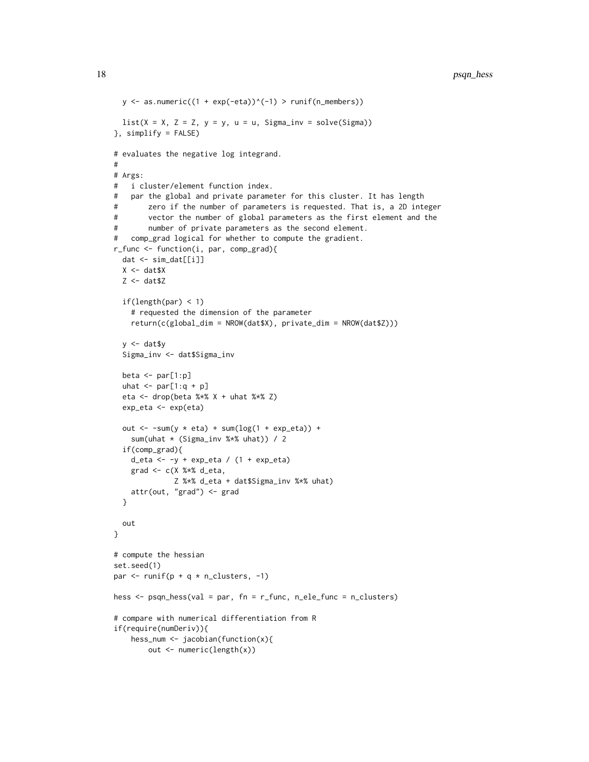```
y \le - as.numeric((1 + exp(-eta))^(-1) > runif(n_members))
 list(X = X, Z = Z, y = y, u = u, Signa_inv = solve(Sigma))}, simplify = FALSE)
# evaluates the negative log integrand.
#
# Args:
# i cluster/element function index.
# par the global and private parameter for this cluster. It has length
# zero if the number of parameters is requested. That is, a 2D integer
# vector the number of global parameters as the first element and the
# number of private parameters as the second element.
# comp_grad logical for whether to compute the gradient.
r_func <- function(i, par, comp_grad){
  dat <- sim_dat[[i]]
  X \leftarrow \text{dat$X}Z <- dat$Z
  if(length(par) < 1)
    # requested the dimension of the parameter
    return(c(global_dim = NROW(dat$X), private_dim = NROW(dat$Z)))
  y <- dat$y
  Sigma_inv <- dat$Sigma_inv
  beta \leq par[1:p]uhat \le par[1:q + p]
  eta <- drop(beta %*% X + uhat %*% Z)
  exp_eta <- exp(eta)
  out \le -sum(y \le eta) + sum(log(1 + exp_eta)) +
    sum(uhat * (Sigma_inv %*% uhat)) / 2
  if(comp_grad){
    d_eta <- -y + exp_eta / (1 + \exp_{10} t)grad <- c(X %*% d_eta,
              Z %*% d_eta + dat$Sigma_inv %*% uhat)
    attr(out, "grad") <- grad
  }
  out
}
# compute the hessian
set.seed(1)
par \le runif(p + q * n_clusters, -1)
hess <- psqn_hess(val = par, fn = r_func, n_ele_func = n_clusters)
# compare with numerical differentiation from R
if(require(numDeriv)){
   hess_num \leq jacobian(function(x){
       out <- numeric(length(x))
```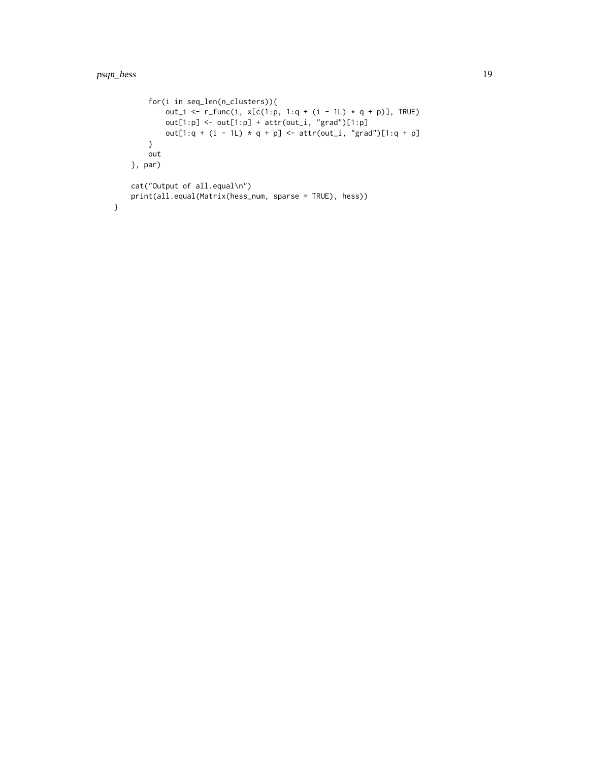}

```
for(i in seq_len(n_clusters)){
        out_i <- r_func(i, x[c(1:p, 1:q + (i - 1L) * q + p)], TRUE)
        out[1:p] \leftarrow out[1:p] + attr(out_i, "grad")[1:p]out[1:q + (i - 1L) * q + p] <- attr(out_i, "grad")[1:q + p]
    }
    out
}, par)
cat("Output of all.equal\n")
print(all.equal(Matrix(hess_num, sparse = TRUE), hess))
```